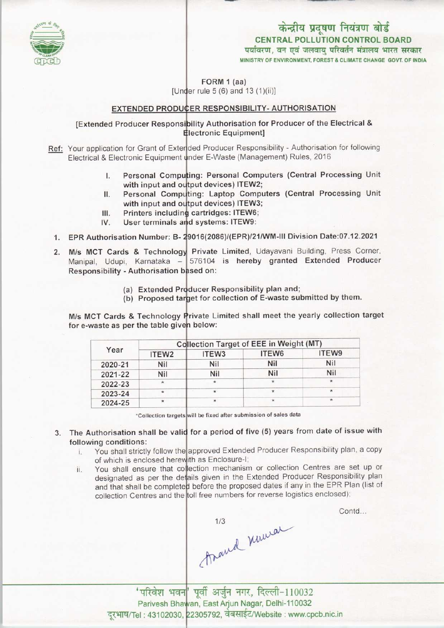

## CENTRAL POLLUTION CONTROL BOARD केन्द्रीय प्रदूषण नियंत्रण बोर्ड<br>CENTRAL POLLUTION CONTROL BOARD<br>पर्यावरण, वन एवं जलवाय परिवर्तन मंत्रालय भारत सरकार

MINISTRY OF ENVIRONMENT, FOREST & CLIMATE CHANGE GOVT. OF INDIA

FORM 1 (aa) [Under rule 5 (6) and  $(1)(ii)$ ]

## <u>EXTENDED PRODUCER RESPONSIBILITY- AUTHORISATION</u>

[Extended Producer Responsi<mark>bility Authorisation for Producer of the Electrical &</mark> lectronic Equipment]

- Ref: Your application for Grant of Exterded Producer Responsibility Authorisation for following Electrical & Electronic Equipment under E-Waste (Management) Rules, 2016
	- I. Personal Computing: Personal Computers (Central Processing Unit with input and output devices) ITEW2
	- with input and output devices) ITEW2;<br>II. Personal Computing: Laptop Computers (Central Processing Unit with input and output devices) ITEW3; II. Personal Comp<br>with input and of<br>III. Printers includin<br>IV. Hear terminals a
	- cartridges: ITEW6; with input and or<br>III. Printers includin<br>IV. User terminals a
	- User terminals and systems: ITEW9:
	- 1. EPR Authorisation Number: B- 29016(2086)/(EPR)/21/WM-III Division Date:07.12.2021
	- 2. M/s MCT Cards & Technology Private Limited, Udayavani Building, Press Corner M/s MCT Cards & Technology Private Limited, Udayavani Bullding, Press Comer,<br>Manipal, Udupi, Karnataka – 576104 is hereby granted Extended Producer Responsibility - Authorisation based on:
		- (a) Extended Producer Responsibility plan and
		- (a) Extended Producer Responsibility plan and,<br>(b) Proposed target for collection of E-waste submitted by them.

M/s MCT Cards & Technology Private Limited shall meet the yearly collection target for e-waste as per the table given below:

| Year    | <b>Collection Target of EEE in Weight (MT)</b> |                   |         |         |
|---------|------------------------------------------------|-------------------|---------|---------|
|         | ITEW <sub>2</sub>                              | ITEW <sub>3</sub> | ITEW6   | ITEW9   |
| 2020-21 | Nil                                            | Nil               | Nil     | Nil     |
| 2021-22 | Nil                                            | Nil               | Nil     | Nil     |
| 2022-23 | $\star$                                        | $\star$           | $\star$ |         |
| 2023-24 | $\star$                                        | $\star$           | $\star$ | $\star$ |
| 2024-25 | $^{\star}$                                     |                   | $\star$ | $\star$ |

'Collection targets wilt be fixed aftersubmission of sales data

3. The Authorisation shall be valid for a period of five (5) years from date of issue with following conditions:

- Iowing conditions:<br>i. You shall strictly follow the approved Extended Producer Responsibility plan, a copy of which is enclosed herewith as Enclosure-I
- of which is enclosed herewith as Enclosure-I;<br>ii. You shall ensure that collection mechanism or collection Centres are set up or designated as per the details given in the Extended Producer Responsibility plan and that shall be completed before the proposed dates if any in the EPR Plan (list of collection Centres and the toll free numbers for reverse logistics enclosed)

Contd...

1/3 Maura

'परिवेश भवन' पूर्वी अर्जुन नगर, दिल्ली-110032 Parivesh Bhawan, East Arjun Nagar, Delhi-110032 Parivesh Bhawan, East Arjun Nagar, Delhi-110032<br>el : 43102030, 22305792, वेबसाईट/Website : www.cpcb.nic.in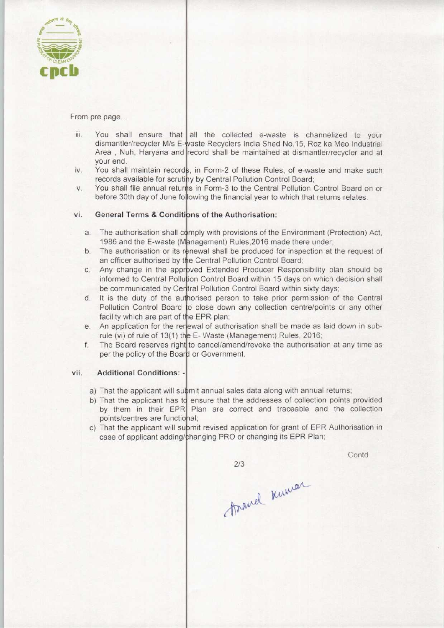

From pre page...

- You shall ensure that all the collected e-waste is channelized to your iii. dismantler/recycler M/s E-waste Recyclers India Shed No. 15, Roz ka Meo Industrial Area, Nuh, Haryana and record shall be maintained at dismantler/recycler and at your end.
- You shall maintain records, in Form-2 of these Rules, of e-waste and make such iv. records available for scrutiny by Central Pollution Control Board
- You shall file annual returns in Form-3 to the Central Pollution Control Board on or V. before 30th day of June following the financial year to which that returns relates

## vi. General Terms & Conditions of the Authorisation:

- The authorisation shall comply with provisions of the Environment (Protection) Act 1986 and the E-waste (Management) Rules,2016 made there under
- The authorisation or its renewal shall be produced for inspection at the request of an officer authorised by the Central Pollution Control Board
- Any change in the approved Extended Producer Responsibility plan should be informed to Central Pollution Control Board within 15 days on which decision shal be communicated by Central Pollution Control Board within sixty days
- It is the duty of the authorised person to take prior permission of the Central Pollution Control Board to close down any collection centre/points or any other facility which are part of the EPR plan;
- An application for the renewal of authorisation shall be made as laid down in subrule (vi) of rule of 13(1) the E-Waste (Management) Rules, 2016
- The Board reserves right to cancel/amend/revoke the authorisation at any time as f. per the policy of the Board or Government.

## vii. Additional Conditions: -

- a) That the applicant will submit annual sales data along with annual returns
- b) That the applicant has to ensure that the addresses of collection points provided by them in their EPR Plan are correct and traceable and the collection points/centres are functional;
- c) That the applicant will supmit revised application for grant of EPR Authorisation in case of applicant adding/changing PRO or changing its EPR Plan

 $2/3$ 

**Contd** 

thand knowar